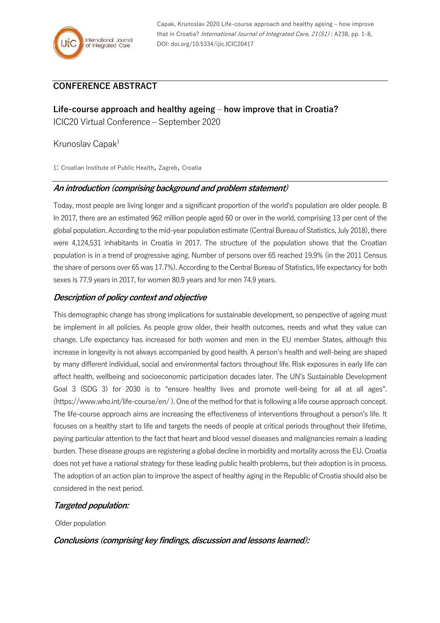Capak, Krunoslav 2020 Life-course approach and healthy ageing – how improve that in Croatia? International Journal of Integrated Care, 21(S1): A238, pp. 1-8, DOI: doi.org/10.5334/ijic.ICIC20417

# **CONFERENCE ABSTRACT**

**Life-course approach and healthy ageing – how improve that in Croatia?** ICIC20 Virtual Conference – September 2020

### Krunoslav Capak<sup>1</sup>

1: Croatian Institute of Public Health, Zagreb, Croatia

# **An introduction (comprising background and problem statement)**

Today, most people are living longer and a significant proportion of the world's population are older people. B In 2017, there are an estimated 962 million people aged 60 or over in the world, comprising 13 per cent of the global population. According to the mid-year population estimate (Central Bureau of Statistics, July 2018), there were 4,124,531 inhabitants in Croatia in 2017. The structure of the population shows that the Croatian population is in a trend of progressive aging. Number of persons over 65 reached 19.9% (in the 2011 Census the share of persons over 65 was 17.7%). According to the Central Bureau of Statistics, life expectancy for both sexes is 77.9 years in 2017, for women 80.9 years and for men 74.9 years.

# **Description of policy context and objective**

This demographic change has strong implications for sustainable development, so perspective of ageing must be implement in all policies. As people grow older, their health outcomes, needs and what they value can change. Life expectancy has increased for both women and men in the EU member States, although this increase in longevity is not always accompanied by good health. A person's health and well-being are shaped by many different individual, social and environmental factors throughout life. Risk exposures in early life can affect health, wellbeing and socioeconomic participation decades later. The UN's Sustainable Development Goal 3 (SDG 3) for 2030 is to "ensure healthy lives and promote well-being for all at all ages". (https://www.who.int/life-course/en/ ). One of the method for that is following a life course approach concept. The life-course approach aims are increasing the effectiveness of interventions throughout a person's life. It focuses on a healthy start to life and targets the needs of people at critical periods throughout their lifetime, paying particular attention to the fact that heart and blood vessel diseases and malignancies remain a leading burden. These disease groups are registering a global decline in morbidity and mortality across the EU. Croatia does not yet have a national strategy for these leading public health problems, but their adoption is in process. The adoption of an action plan to improve the aspect of healthy aging in the Republic of Croatia should also be considered in the next period.

### **Targeted population:**

Older population

**Conclusions (comprising key findings, discussion and lessons learned):**